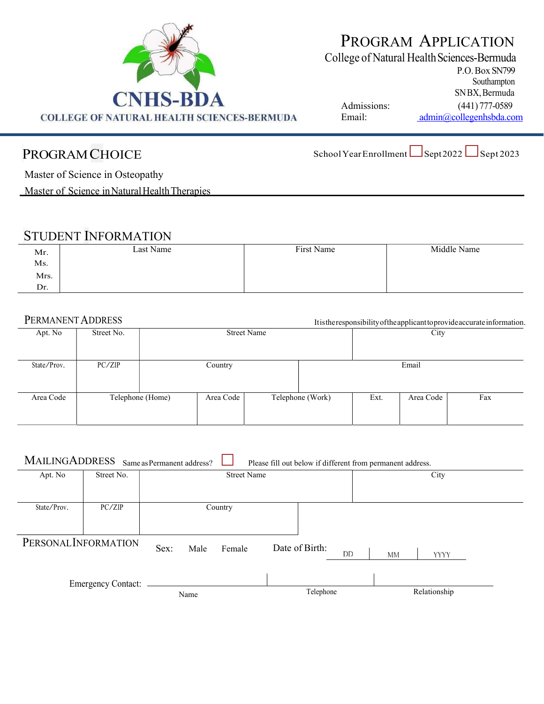

# PROGRAM APPLICATION

College of Natural Health Sciences-Bermuda

P.O. Box SN799 Southampton SN BX, Bermuda

Admissions: (441) 777-0589 Email: admin@collegenhsbda.com

PROGRAM CHOICE School Year Enrollment Sept 2022 Sept 2023

Master of Science in Osteopathy

Master of Science in Natural Health Therapies

#### STUDENT INFORMATION

| Mr.<br>$\rm Ms.$ | Last Name | First Name | Middle Name |
|------------------|-----------|------------|-------------|
| Mrs.             |           |            |             |
| Dr.              |           |            |             |

#### PERMANENT ADDRESS It is the responsibility of the applicant to provide accurate information.

| Street No. | <b>Street Name</b> |                  |  |           | City             |           |                                                                     |
|------------|--------------------|------------------|--|-----------|------------------|-----------|---------------------------------------------------------------------|
|            |                    |                  |  |           |                  |           |                                                                     |
| PC/ZIP     |                    | Country          |  |           |                  | Email     |                                                                     |
|            |                    |                  |  |           |                  |           |                                                                     |
|            |                    |                  |  |           | Ext.             | Area Code | Fax                                                                 |
|            |                    |                  |  |           |                  |           |                                                                     |
|            |                    | Telephone (Home) |  | Area Code | Telephone (Work) |           | rusuicresponsionity orthe applicant to provide accurate information |

| MAILINGADDRESS<br>Same as Permanent address?<br>Please fill out below if different from permanent address. |            |                        |                |                   |  |  |
|------------------------------------------------------------------------------------------------------------|------------|------------------------|----------------|-------------------|--|--|
| Apt. No                                                                                                    | Street No. | <b>Street Name</b>     |                | City              |  |  |
|                                                                                                            |            |                        |                |                   |  |  |
| State/Prov.                                                                                                | PC/ZIP     | Country                |                |                   |  |  |
|                                                                                                            |            |                        |                |                   |  |  |
| PERSONAL INFORMATION                                                                                       |            | Sex:<br>Male<br>Female | Date of Birth: |                   |  |  |
|                                                                                                            |            |                        | DD             | MМ<br><b>YYYY</b> |  |  |
|                                                                                                            |            |                        |                |                   |  |  |
| <b>Emergency Contact:</b>                                                                                  |            | Name                   | Telephone      | Relationship      |  |  |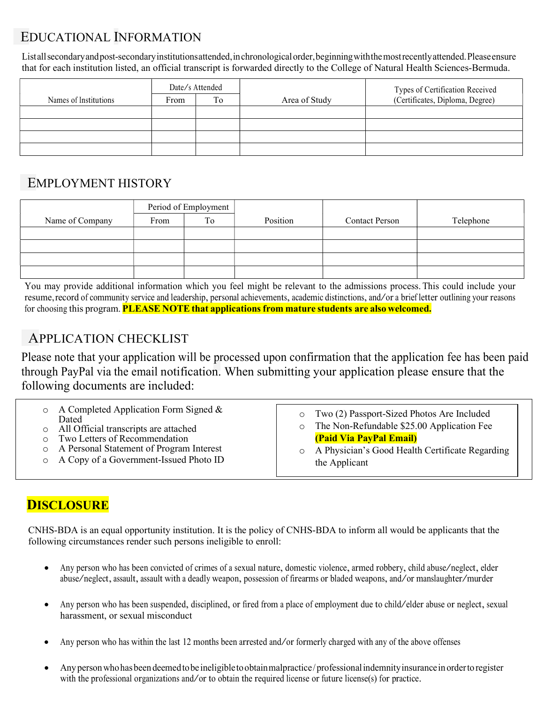## EDUCATIONAL INFORMATION

List all secondary and post-secondary institutions attended, in chronological order, beginning with the most recently attended. Please ensure that for each institution listed, an official transcript is forwarded directly to the College of Natural Health Sciences-Bermuda.

|                       | Date/s Attended |    |               | Types of Certification Received |  |
|-----------------------|-----------------|----|---------------|---------------------------------|--|
| Names of Institutions | From            | To | Area of Study | (Certificates, Diploma, Degree) |  |
|                       |                 |    |               |                                 |  |
|                       |                 |    |               |                                 |  |
|                       |                 |    |               |                                 |  |
|                       |                 |    |               |                                 |  |

#### EMPLOYMENT HISTORY

|                 | Period of Employment |    |          |                       |           |
|-----------------|----------------------|----|----------|-----------------------|-----------|
| Name of Company | From                 | To | Position | <b>Contact Person</b> | Telephone |
|                 |                      |    |          |                       |           |
|                 |                      |    |          |                       |           |
|                 |                      |    |          |                       |           |
|                 |                      |    |          |                       |           |

You may provide additional information which you feel might be relevant to the admissions process. This could include your resume, record of community service and leadership, personal achievements, academic distinctions, and/or <sup>a</sup> brief letter outlining your reasons for choosing this program. PLEASE NOTE that applications from mature students are also welcomed.

## APPLICATION CHECKLIST

Please note that your application will be processed upon confirmation that the application fee has been paid through PayPal via the email notification. When submitting your application please ensure that the following documents are included:

| $\circ$ A Completed Application Form Signed &<br>Dated<br>All Official transcripts are attached<br>o Two Letters of Recommendation<br>o A Personal Statement of Program Interest<br>o A Copy of a Government-Issued Photo ID | o Two (2) Passport-Sized Photos Are Included<br>The Non-Refundable \$25.00 Application Fee<br>$\circ$<br><b>(Paid Via PayPal Email)</b><br>A Physician's Good Health Certificate Regarding<br>$\circ$<br>the Applicant |
|------------------------------------------------------------------------------------------------------------------------------------------------------------------------------------------------------------------------------|------------------------------------------------------------------------------------------------------------------------------------------------------------------------------------------------------------------------|
|------------------------------------------------------------------------------------------------------------------------------------------------------------------------------------------------------------------------------|------------------------------------------------------------------------------------------------------------------------------------------------------------------------------------------------------------------------|

#### **DISCLOSURE**

CNHS-BDA is an equal opportunity institution. It is the policy of CNHS-BDA to inform all would be applicants that the following circumstances render such persons ineligible to enroll:

- Any person who has been convicted of crimes of <sup>a</sup> sexual nature, domestic violence, armed robbery, child abuse/neglect, elder abuse/neglect, assault, assault with <sup>a</sup> deadly weapon, possession of firearms or bladed weapons, and/or manslaughter/murder
- Any person who has been suspended, disciplined, or fired from a place of employment due to child/elder abuse or neglect, sexual harassment, or sexual misconduct
- Any person who has within the last 12 months been arrested and/or formerly charged with any of the above offenses
- Any person who has been deemed to be ineligible to obtain malpractice / professional indemnity insurance in order to register with the professional organizations and/or to obtain the required license or future license(s) for practice.